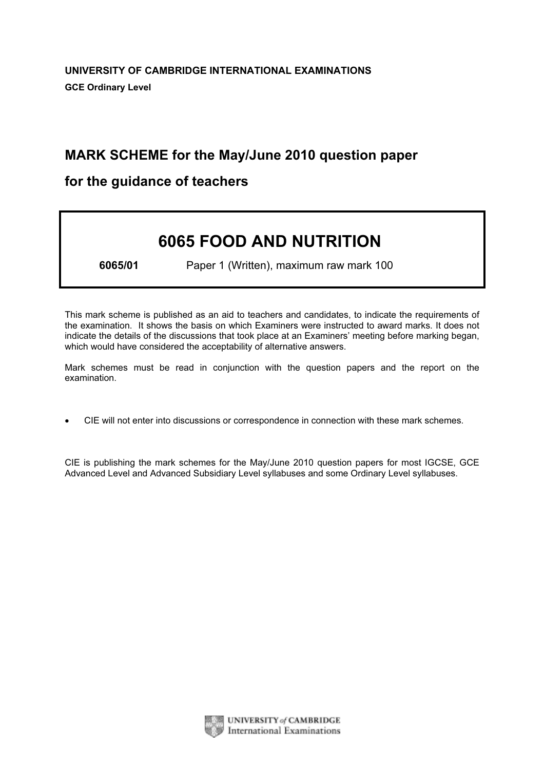# MARK SCHEME for the May/June 2010 question paper

# for the guidance of teachers

# 6065 FOOD AND NUTRITION

6065/01 Paper 1 (Written), maximum raw mark 100

This mark scheme is published as an aid to teachers and candidates, to indicate the requirements of the examination. It shows the basis on which Examiners were instructed to award marks. It does not indicate the details of the discussions that took place at an Examiners' meeting before marking began, which would have considered the acceptability of alternative answers.

Mark schemes must be read in conjunction with the question papers and the report on the examination.

*•* CIE will not enter into discussions or correspondence in connection with these mark schemes.

CIE is publishing the mark schemes for the May/June 2010 question papers for most IGCSE, GCE Advanced Level and Advanced Subsidiary Level syllabuses and some Ordinary Level syllabuses.

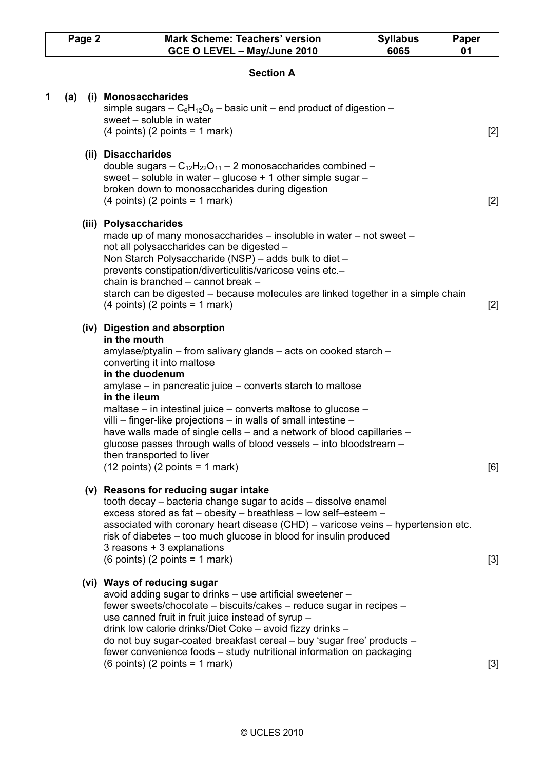| Page 2 |     |  | <b>Mark Scheme: Teachers' version</b>                                                                                                                                                                                                                                                                                                                                                                                                                                                                                                                             | <b>Syllabus</b> | <b>Paper</b> |
|--------|-----|--|-------------------------------------------------------------------------------------------------------------------------------------------------------------------------------------------------------------------------------------------------------------------------------------------------------------------------------------------------------------------------------------------------------------------------------------------------------------------------------------------------------------------------------------------------------------------|-----------------|--------------|
|        |     |  | GCE O LEVEL - May/June 2010                                                                                                                                                                                                                                                                                                                                                                                                                                                                                                                                       | 6065            | 01           |
|        |     |  | <b>Section A</b>                                                                                                                                                                                                                                                                                                                                                                                                                                                                                                                                                  |                 |              |
| 1      | (a) |  | (i) Monosaccharides<br>simple sugars $-C_6H_{12}O_6$ – basic unit – end product of digestion –<br>sweet - soluble in water<br>$(4 \text{ points})$ $(2 \text{ points} = 1 \text{ mark})$                                                                                                                                                                                                                                                                                                                                                                          |                 | $[2]$        |
|        |     |  | (ii) Disaccharides<br>double sugars $-C_{12}H_{22}O_{11} - 2$ monosaccharides combined –<br>sweet – soluble in water – glucose + 1 other simple sugar –<br>broken down to monosaccharides during digestion<br>$(4$ points) $(2$ points = 1 mark)                                                                                                                                                                                                                                                                                                                  |                 | $[2]$        |
|        |     |  | (iii) Polysaccharides<br>made up of many monosaccharides - insoluble in water - not sweet -<br>not all polysaccharides can be digested -<br>Non Starch Polysaccharide (NSP) – adds bulk to diet –<br>prevents constipation/diverticulitis/varicose veins etc.-<br>chain is branched - cannot break -<br>starch can be digested – because molecules are linked together in a simple chain<br>$(4 \text{ points})$ $(2 \text{ points} = 1 \text{ mark})$                                                                                                            |                 | $[2]$        |
|        |     |  | (iv) Digestion and absorption<br>in the mouth<br>amylase/ptyalin – from salivary glands – acts on cooked starch –<br>converting it into maltose<br>in the duodenum<br>amylase – in pancreatic juice – converts starch to maltose<br>in the ileum<br>maltase – in intestinal juice – converts maltose to glucose –<br>villi – finger-like projections – in walls of small intestine –<br>have walls made of single cells - and a network of blood capillaries -<br>glucose passes through walls of blood vessels - into bloodstream -<br>then transported to liver |                 |              |
|        |     |  | $(12 \text{ points})$ (2 points = 1 mark)<br>(v) Reasons for reducing sugar intake<br>tooth decay – bacteria change sugar to acids – dissolve enamel<br>excess stored as fat - obesity - breathless - low self-esteem -<br>associated with coronary heart disease (CHD) – varicose veins – hypertension etc.<br>risk of diabetes – too much glucose in blood for insulin produced<br>3 reasons + 3 explanations<br>$(6 \text{ points})$ $(2 \text{ points} = 1 \text{ mark})$                                                                                     |                 | [6]<br>$[3]$ |
|        |     |  | (vi) Ways of reducing sugar<br>avoid adding sugar to drinks - use artificial sweetener -<br>fewer sweets/chocolate - biscuits/cakes - reduce sugar in recipes -<br>use canned fruit in fruit juice instead of syrup -<br>drink low calorie drinks/Diet Coke - avoid fizzy drinks -<br>do not buy sugar-coated breakfast cereal - buy 'sugar free' products -<br>fewer convenience foods - study nutritional information on packaging<br>$(6 \text{ points})$ $(2 \text{ points} = 1 \text{ mark})$                                                                |                 | $[3]$        |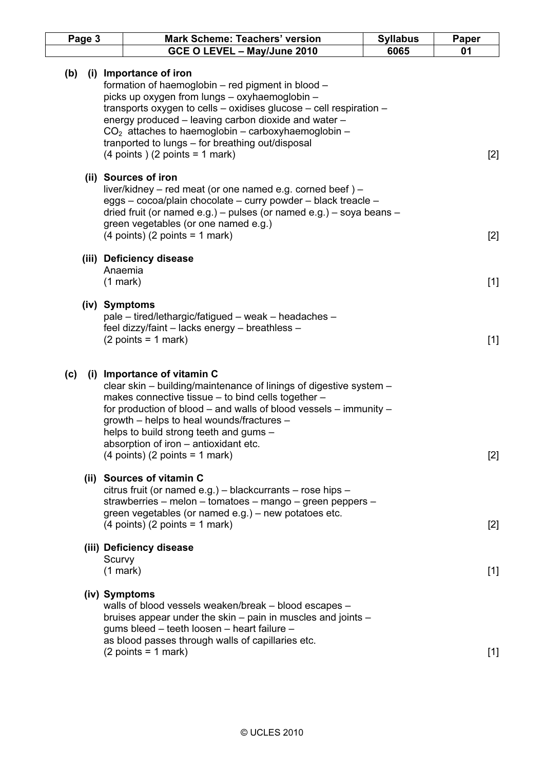| Page 3 |     |                      | <b>Mark Scheme: Teachers' version</b>                                                                                                                                                                                                                                                                                                                                                                                            | <b>Syllabus</b> | Paper |
|--------|-----|----------------------|----------------------------------------------------------------------------------------------------------------------------------------------------------------------------------------------------------------------------------------------------------------------------------------------------------------------------------------------------------------------------------------------------------------------------------|-----------------|-------|
|        |     |                      | GCE O LEVEL - May/June 2010                                                                                                                                                                                                                                                                                                                                                                                                      | 6065            | 01    |
| (b)    | (i) |                      | Importance of iron<br>formation of haemoglobin - red pigment in blood -<br>picks up oxygen from lungs - oxyhaemoglobin -<br>transports oxygen to cells - oxidises glucose - cell respiration -<br>energy produced – leaving carbon dioxide and water –<br>$CO2$ attaches to haemoglobin – carboxyhaemoglobin –<br>tranported to lungs – for breathing out/disposal<br>$(4 \text{ points})$ $(2 \text{ points} = 1 \text{ mark})$ |                 | $[2]$ |
|        |     |                      | (ii) Sources of iron<br>liver/kidney – red meat (or one named e.g. corned beef) –<br>eggs - cocoa/plain chocolate - curry powder - black treacle -<br>dried fruit (or named e.g.) - pulses (or named e.g.) - soya beans -<br>green vegetables (or one named e.g.)<br>$(4$ points) $(2$ points = 1 mark)                                                                                                                          |                 | $[2]$ |
|        |     | $(1$ mark $)$        | (iii) Deficiency disease<br>Anaemia                                                                                                                                                                                                                                                                                                                                                                                              |                 | $[1]$ |
|        |     |                      | (iv) Symptoms<br>pale – tired/lethargic/fatigued – weak – headaches –<br>feel dizzy/faint - lacks energy - breathless -<br>$(2 points = 1 mark)$                                                                                                                                                                                                                                                                                 |                 | $[1]$ |
| (c)    |     |                      | (i) Importance of vitamin C<br>clear skin – building/maintenance of linings of digestive system –<br>makes connective tissue - to bind cells together -<br>for production of blood $-$ and walls of blood vessels $-$ immunity $-$<br>growth – helps to heal wounds/fractures –<br>helps to build strong teeth and gums -<br>absorption of iron – antioxidant etc.<br>$(4$ points) $(2$ points = 1 mark)                         |                 | $[2]$ |
|        |     |                      | (ii) Sources of vitamin C<br>citrus fruit (or named e.g.) - blackcurrants - rose hips -<br>strawberries – melon – tomatoes – mango – green peppers –<br>green vegetables (or named e.g.) – new potatoes etc.<br>$(4$ points) $(2$ points = 1 mark)                                                                                                                                                                               |                 | $[2]$ |
|        |     | Scurvy<br>$(1$ mark) | (iii) Deficiency disease                                                                                                                                                                                                                                                                                                                                                                                                         |                 | $[1]$ |
|        |     |                      | (iv) Symptoms<br>walls of blood vessels weaken/break - blood escapes -<br>bruises appear under the skin – pain in muscles and joints –<br>gums bleed - teeth loosen - heart failure -<br>as blood passes through walls of capillaries etc.<br>$(2 points = 1 mark)$                                                                                                                                                              |                 | $[1]$ |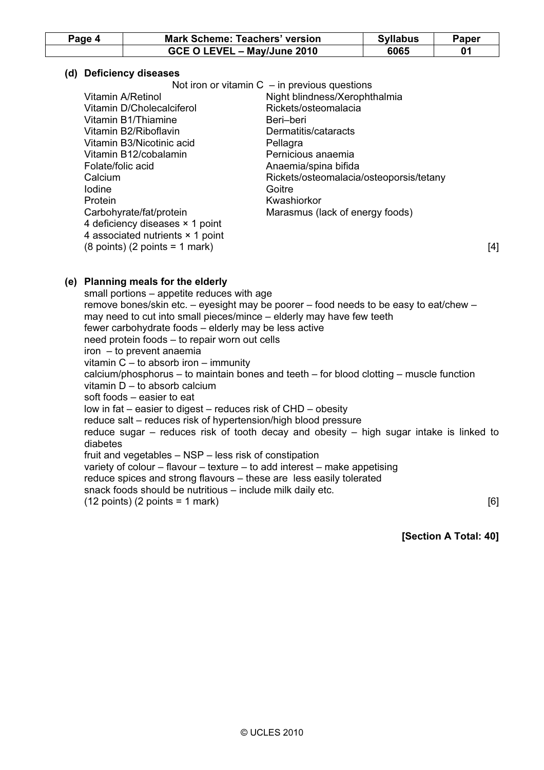| Page 4 | <b>Mark Scheme: Teachers' version</b> | <b>Syllabus</b> | Paper |
|--------|---------------------------------------|-----------------|-------|
|        | GCE O LEVEL - May/June 2010           | 6065            |       |

# (d) Deficiency diseases

|                                                            | Not iron or vitamin $C - in$ previous questions |     |
|------------------------------------------------------------|-------------------------------------------------|-----|
| Vitamin A/Retinol                                          | Night blindness/Xerophthalmia                   |     |
| Vitamin D/Cholecalciferol                                  | Rickets/osteomalacia                            |     |
| Vitamin B1/Thiamine                                        | Beri-beri                                       |     |
| Vitamin B2/Riboflavin                                      | Dermatitis/cataracts                            |     |
| Vitamin B3/Nicotinic acid                                  | Pellagra                                        |     |
| Vitamin B12/cobalamin                                      | Pernicious anaemia                              |     |
| Folate/folic acid                                          | Anaemia/spina bifida                            |     |
| Calcium                                                    | Rickets/osteomalacia/osteoporsis/tetany         |     |
| lodine                                                     | Goitre                                          |     |
| Protein                                                    | Kwashiorkor                                     |     |
| Carbohyrate/fat/protein                                    | Marasmus (lack of energy foods)                 |     |
| 4 deficiency diseases × 1 point                            |                                                 |     |
| 4 associated nutrients × 1 point                           |                                                 |     |
| $(8 \text{ points})$ $(2 \text{ points} = 1 \text{ mark})$ |                                                 | [4] |

# (e) Planning meals for the elderly

 small portions – appetite reduces with age remove bones/skin etc. – eyesight may be poorer – food needs to be easy to eat/chew – may need to cut into small pieces/mince – elderly may have few teeth fewer carbohydrate foods – elderly may be less active need protein foods – to repair worn out cells iron – to prevent anaemia vitamin C – to absorb iron – immunity calcium/phosphorus – to maintain bones and teeth – for blood clotting – muscle function vitamin D – to absorb calcium soft foods – easier to eat low in fat – easier to digest – reduces risk of CHD – obesity reduce salt – reduces risk of hypertension/high blood pressure reduce sugar – reduces risk of tooth decay and obesity – high sugar intake is linked to diabetes fruit and vegetables – NSP – less risk of constipation variety of colour – flavour – texture – to add interest – make appetising reduce spices and strong flavours – these are less easily tolerated snack foods should be nutritious – include milk daily etc.  $(12 \text{ points}) (2 \text{ points} = 1 \text{ mark})$  [6]

[Section A Total: 40]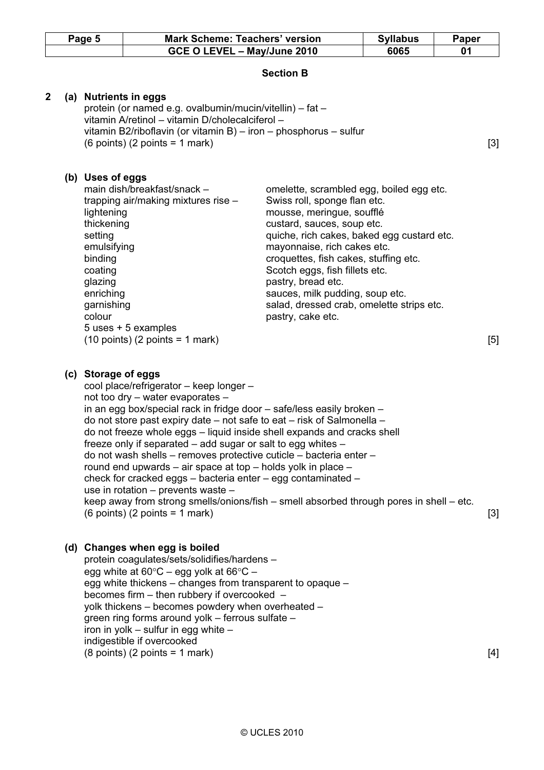|              | Page 5 |                                                                                                                                              | <b>Mark Scheme: Teachers' version</b>                                                                                                                                                                                                                                                                                                                                                                                                                                                                                                                                                                                                                                                                                                                  |                                                                                                                                                                                                                                                                                                                                                                                                                        | <b>Syllabus</b> | Paper |
|--------------|--------|----------------------------------------------------------------------------------------------------------------------------------------------|--------------------------------------------------------------------------------------------------------------------------------------------------------------------------------------------------------------------------------------------------------------------------------------------------------------------------------------------------------------------------------------------------------------------------------------------------------------------------------------------------------------------------------------------------------------------------------------------------------------------------------------------------------------------------------------------------------------------------------------------------------|------------------------------------------------------------------------------------------------------------------------------------------------------------------------------------------------------------------------------------------------------------------------------------------------------------------------------------------------------------------------------------------------------------------------|-----------------|-------|
|              |        |                                                                                                                                              | GCE O LEVEL - May/June 2010                                                                                                                                                                                                                                                                                                                                                                                                                                                                                                                                                                                                                                                                                                                            |                                                                                                                                                                                                                                                                                                                                                                                                                        | 6065            | 01    |
|              |        |                                                                                                                                              |                                                                                                                                                                                                                                                                                                                                                                                                                                                                                                                                                                                                                                                                                                                                                        | <b>Section B</b>                                                                                                                                                                                                                                                                                                                                                                                                       |                 |       |
| $\mathbf{2}$ |        |                                                                                                                                              | (a) Nutrients in eggs<br>protein (or named e.g. ovalbumin/mucin/vitellin) - fat -<br>vitamin A/retinol - vitamin D/cholecalciferol -<br>vitamin B2/riboflavin (or vitamin B) - iron - phosphorus - sulfur<br>$(6 \text{ points})$ $(2 \text{ points} = 1 \text{ mark})$                                                                                                                                                                                                                                                                                                                                                                                                                                                                                |                                                                                                                                                                                                                                                                                                                                                                                                                        |                 | [3]   |
|              |        | (b) Uses of eggs<br>lightening<br>thickening<br>setting<br>emulsifying<br>binding<br>coating<br>glazing<br>enriching<br>garnishing<br>colour | main dish/breakfast/snack -<br>trapping air/making mixtures rise -<br>5 uses + 5 examples<br>$(10 \text{ points})$ $(2 \text{ points} = 1 \text{ mark})$                                                                                                                                                                                                                                                                                                                                                                                                                                                                                                                                                                                               | omelette, scrambled egg, boiled egg etc.<br>Swiss roll, sponge flan etc.<br>mousse, meringue, soufflé<br>custard, sauces, soup etc.<br>quiche, rich cakes, baked egg custard etc.<br>mayonnaise, rich cakes etc.<br>croquettes, fish cakes, stuffing etc.<br>Scotch eggs, fish fillets etc.<br>pastry, bread etc.<br>sauces, milk pudding, soup etc.<br>salad, dressed crab, omelette strips etc.<br>pastry, cake etc. |                 | [5]   |
|              |        |                                                                                                                                              |                                                                                                                                                                                                                                                                                                                                                                                                                                                                                                                                                                                                                                                                                                                                                        |                                                                                                                                                                                                                                                                                                                                                                                                                        |                 |       |
|              |        | (c) Storage of eggs                                                                                                                          | cool place/refrigerator - keep longer -<br>not too dry - water evaporates -<br>in an egg box/special rack in fridge door - safe/less easily broken -<br>do not store past expiry date - not safe to eat - risk of Salmonella -<br>do not freeze whole eggs - liquid inside shell expands and cracks shell<br>freeze only if separated - add sugar or salt to egg whites -<br>do not wash shells - removes protective cuticle - bacteria enter -<br>round end upwards - air space at top - holds yolk in place -<br>check for cracked eggs - bacteria enter - egg contaminated -<br>use in rotation – prevents waste –<br>keep away from strong smells/onions/fish – smell absorbed through pores in shell – etc.<br>$(6$ points) $(2$ points = 1 mark) |                                                                                                                                                                                                                                                                                                                                                                                                                        |                 | $[3]$ |
|              |        |                                                                                                                                              | (d) Changes when egg is boiled<br>protein coagulates/sets/solidifies/hardens -<br>egg white at $60^{\circ}$ C – egg yolk at $66^{\circ}$ C –<br>egg white thickens – changes from transparent to opaque –<br>becomes firm – then rubbery if overcooked –<br>yolk thickens – becomes powdery when overheated –<br>green ring forms around yolk - ferrous sulfate -                                                                                                                                                                                                                                                                                                                                                                                      |                                                                                                                                                                                                                                                                                                                                                                                                                        |                 |       |

 $(8 \text{ points}) (2 \text{ points} = 1 \text{ mark})$  [4]

iron in yolk – sulfur in egg white –

indigestible if overcooked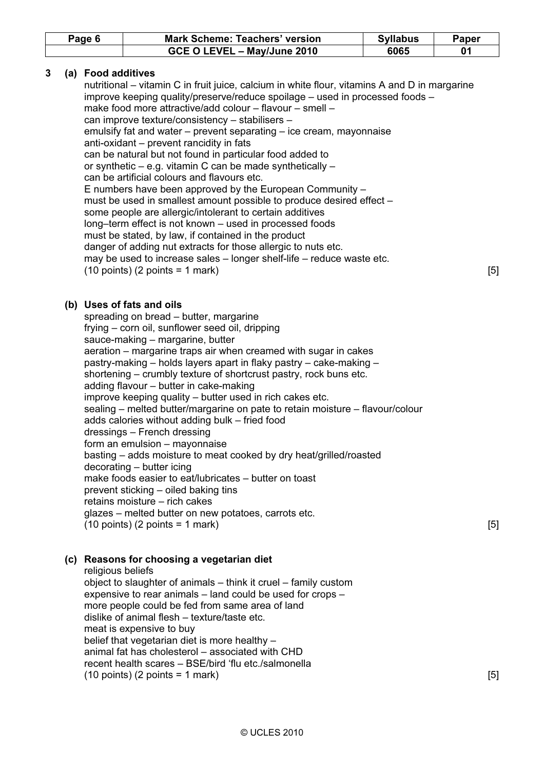| Page 6 | <b>Mark Scheme: Teachers' version</b> | <b>Syllabus</b> | Paper |
|--------|---------------------------------------|-----------------|-------|
|        | GCE O LEVEL - May/June 2010           | 6065            |       |

# 3 (a) Food additives

 nutritional – vitamin C in fruit juice, calcium in white flour, vitamins A and D in margarine improve keeping quality/preserve/reduce spoilage – used in processed foods – make food more attractive/add colour – flavour – smell – can improve texture/consistency – stabilisers – emulsify fat and water – prevent separating – ice cream, mayonnaise anti-oxidant – prevent rancidity in fats can be natural but not found in particular food added to or synthetic – e.g. vitamin C can be made synthetically – can be artificial colours and flavours etc. E numbers have been approved by the European Community – must be used in smallest amount possible to produce desired effect – some people are allergic/intolerant to certain additives long–term effect is not known – used in processed foods must be stated, by law, if contained in the product danger of adding nut extracts for those allergic to nuts etc. may be used to increase sales – longer shelf-life – reduce waste etc.  $(10 \text{ points})$  (2 points = 1 mark)  $[5]$ 

# (b) Uses of fats and oils

 spreading on bread – butter, margarine frying – corn oil, sunflower seed oil, dripping sauce-making – margarine, butter aeration – margarine traps air when creamed with sugar in cakes pastry-making – holds layers apart in flaky pastry – cake-making – shortening – crumbly texture of shortcrust pastry, rock buns etc. adding flavour – butter in cake-making improve keeping quality – butter used in rich cakes etc. sealing – melted butter/margarine on pate to retain moisture – flavour/colour adds calories without adding bulk – fried food dressings – French dressing form an emulsion – mayonnaise basting – adds moisture to meat cooked by dry heat/grilled/roasted decorating – butter icing make foods easier to eat/lubricates – butter on toast prevent sticking – oiled baking tins retains moisture – rich cakes glazes – melted butter on new potatoes, carrots etc.  $(10 \text{ points})$  (2 points = 1 mark) [5]

# (c) Reasons for choosing a vegetarian diet

 religious beliefs object to slaughter of animals – think it cruel – family custom expensive to rear animals – land could be used for crops – more people could be fed from same area of land dislike of animal flesh – texture/taste etc. meat is expensive to buy belief that vegetarian diet is more healthy – animal fat has cholesterol – associated with CHD recent health scares – BSE/bird 'flu etc./salmonella  $(10 \text{ points})$  (2 points = 1 mark)  $[5]$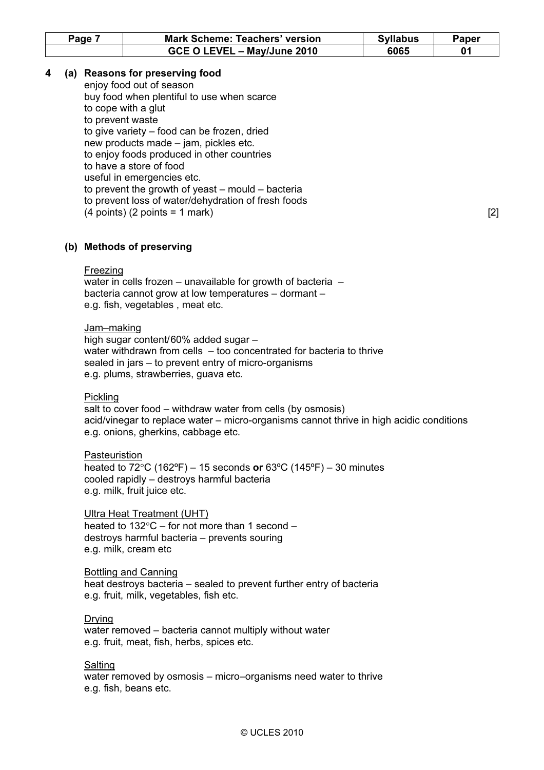| Page | <b>Mark Scheme: Teachers' version</b> | <b>Syllabus</b> | Paper |
|------|---------------------------------------|-----------------|-------|
|      | GCE O LEVEL - May/June 2010           | 6065            |       |

# 4 (a) Reasons for preserving food

 enjoy food out of season buy food when plentiful to use when scarce to cope with a glut to prevent waste to give variety – food can be frozen, dried new products made – jam, pickles etc. to enjoy foods produced in other countries to have a store of food useful in emergencies etc. to prevent the growth of yeast – mould – bacteria to prevent loss of water/dehydration of fresh foods  $(4 \text{ points}) (2 \text{ points} = 1 \text{ mark})$  [2]

# (b) Methods of preserving

#### Freezing

water in cells frozen – unavailable for growth of bacteria – bacteria cannot grow at low temperatures – dormant – e.g. fish, vegetables , meat etc.

#### Jam–making

 high sugar content/60% added sugar – water withdrawn from cells – too concentrated for bacteria to thrive sealed in jars – to prevent entry of micro-organisms e.g. plums, strawberries, guava etc.

#### **Pickling**

 salt to cover food – withdraw water from cells (by osmosis) acid/vinegar to replace water – micro-organisms cannot thrive in high acidic conditions e.g. onions, gherkins, cabbage etc.

### Pasteuristion

heated to  $72^{\circ}$ C (162 $^{\circ}$ F) – 15 seconds or 63 $^{\circ}$ C (145 $^{\circ}$ F) – 30 minutes cooled rapidly – destroys harmful bacteria e.g. milk, fruit juice etc.

#### Ultra Heat Treatment (UHT)

 heated to 132°C – for not more than 1 second – destroys harmful bacteria – prevents souring e.g. milk, cream etc

#### Bottling and Canning

 heat destroys bacteria – sealed to prevent further entry of bacteria e.g. fruit, milk, vegetables, fish etc.

# Drying

 water removed – bacteria cannot multiply without water e.g. fruit, meat, fish, herbs, spices etc.

# Salting

 water removed by osmosis – micro–organisms need water to thrive e.g. fish, beans etc.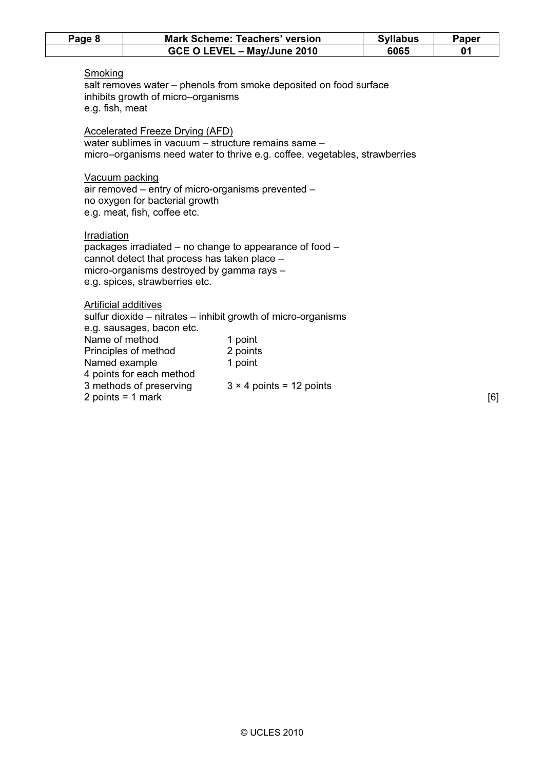| Page 8                          |                                                                                                                                        | <b>Mark Scheme: Teachers' version</b>                                                                                             | <b>Syllabus</b> | Paper |
|---------------------------------|----------------------------------------------------------------------------------------------------------------------------------------|-----------------------------------------------------------------------------------------------------------------------------------|-----------------|-------|
|                                 |                                                                                                                                        | GCE O LEVEL - May/June 2010                                                                                                       | 6065            | 01    |
| Smoking<br>e.g. fish, meat      | inhibits growth of micro-organisms                                                                                                     | salt removes water – phenols from smoke deposited on food surface                                                                 |                 |       |
|                                 | Accelerated Freeze Drying (AFD)                                                                                                        | water sublimes in vacuum - structure remains same -<br>micro–organisms need water to thrive e.g. coffee, vegetables, strawberries |                 |       |
|                                 | Vacuum packing<br>air removed - entry of micro-organisms prevented -<br>no oxygen for bacterial growth<br>e.g. meat, fish, coffee etc. |                                                                                                                                   |                 |       |
| Irradiation                     | cannot detect that process has taken place -<br>micro-organisms destroyed by gamma rays -<br>e.g. spices, strawberries etc.            | packages irradiated – no change to appearance of food –                                                                           |                 |       |
| Name of method<br>Named example | Artificial additives<br>e.g. sausages, bacon etc.<br>Principles of method<br>4 points for each method                                  | sulfur dioxide – nitrates – inhibit growth of micro-organisms<br>1 point<br>2 points<br>1 point                                   |                 |       |
|                                 | 3 methods of preserving<br>2 points = $1$ mark                                                                                         | $3 \times 4$ points = 12 points                                                                                                   |                 | [6]   |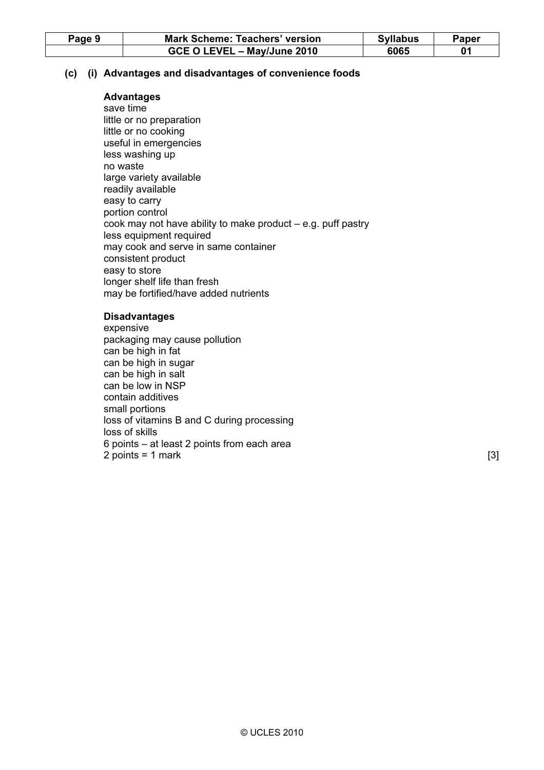| Page 9 | <b>Mark Scheme: Teachers' version</b> | <b>Syllabus</b> | Paper |
|--------|---------------------------------------|-----------------|-------|
|        | GCE O LEVEL - May/June 2010           | 6065            |       |

# (c) (i) Advantages and disadvantages of convenience foods

# Advantages

 save time little or no preparation little or no cooking useful in emergencies less washing up no waste large variety available readily available easy to carry portion control cook may not have ability to make product – e.g. puff pastry less equipment required may cook and serve in same container consistent product easy to store longer shelf life than fresh may be fortified/have added nutrients

# Disadvantages

 expensive packaging may cause pollution can be high in fat can be high in sugar can be high in salt can be low in NSP contain additives small portions loss of vitamins B and C during processing loss of skills 6 points – at least 2 points from each area  $2 points = 1 mark$  [3]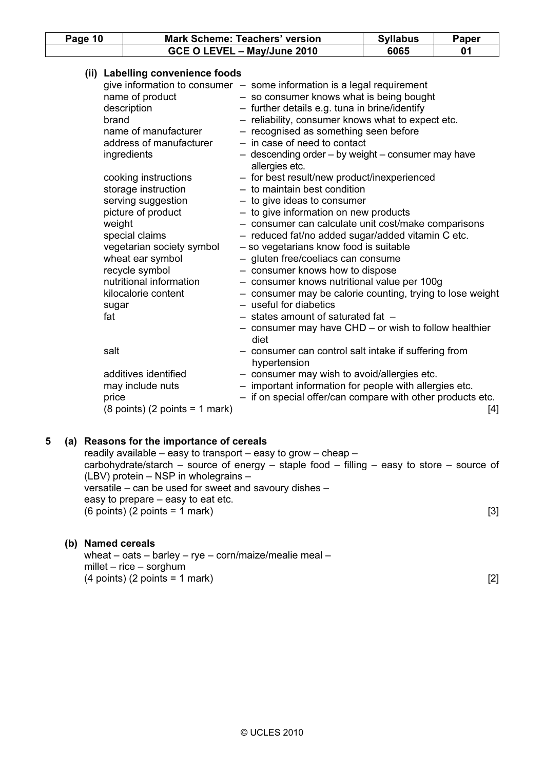| Page 10                |                                                                                                                                                                                                           | <b>Mark Scheme: Teachers' version</b>                                                                                                                                                                                                                                                                                                                                                                                                                                                                                                                                 | <b>Syllabus</b> | Paper |
|------------------------|-----------------------------------------------------------------------------------------------------------------------------------------------------------------------------------------------------------|-----------------------------------------------------------------------------------------------------------------------------------------------------------------------------------------------------------------------------------------------------------------------------------------------------------------------------------------------------------------------------------------------------------------------------------------------------------------------------------------------------------------------------------------------------------------------|-----------------|-------|
|                        |                                                                                                                                                                                                           |                                                                                                                                                                                                                                                                                                                                                                                                                                                                                                                                                                       | 6065            | 01    |
| brand                  | (ii) Labelling convenience foods<br>name of product<br>description<br>name of manufacturer<br>address of manufacturer<br>ingredients<br>cooking instructions<br>storage instruction<br>serving suggestion | GCE O LEVEL - May/June 2010<br>give information to consumer $-$ some information is a legal requirement<br>- so consumer knows what is being bought<br>- further details e.g. tuna in brine/identify<br>- reliability, consumer knows what to expect etc.<br>- recognised as something seen before<br>- in case of need to contact<br>- descending order - by weight - consumer may have<br>allergies etc.<br>- for best result/new product/inexperienced<br>$-$ to maintain best condition<br>$-$ to give ideas to consumer<br>- to give information on new products |                 |       |
| weight<br>sugar<br>fat | picture of product<br>special claims<br>vegetarian society symbol<br>wheat ear symbol<br>recycle symbol<br>nutritional information<br>kilocalorie content                                                 | - consumer can calculate unit cost/make comparisons<br>- reduced fat/no added sugar/added vitamin C etc.<br>- so vegetarians know food is suitable<br>- gluten free/coeliacs can consume<br>- consumer knows how to dispose<br>- consumer knows nutritional value per 100g<br>- consumer may be calorie counting, trying to lose weight<br>- useful for diabetics<br>- states amount of saturated fat -<br>- consumer may have CHD - or wish to follow healthier<br>diet                                                                                              |                 |       |
| salt<br>price          | additives identified<br>may include nuts<br>$(8 \text{ points})$ $(2 \text{ points} = 1 \text{ mark})$                                                                                                    | - consumer can control salt intake if suffering from<br>hypertension<br>- consumer may wish to avoid/allergies etc.<br>- important information for people with allergies etc.<br>- if on special offer/can compare with other products etc.                                                                                                                                                                                                                                                                                                                           |                 | [4]   |
| 5                      | (a) Reasons for the importance of cereals                                                                                                                                                                 | readily available – easy to transport – easy to grow – cheap –                                                                                                                                                                                                                                                                                                                                                                                                                                                                                                        |                 |       |

 carbohydrate/starch – source of energy – staple food – filling – easy to store – source of (LBV) protein – NSP in wholegrains – versatile – can be used for sweet and savoury dishes – easy to prepare – easy to eat etc.  $(6 \text{ points}) (2 \text{ points} = 1 \text{ mark})$  [3]

# (b) Named cereals

 wheat – oats – barley – rye – corn/maize/mealie meal – millet – rice – sorghum  $(4 \text{ points}) (2 \text{ points} = 1 \text{ mark})$  [2]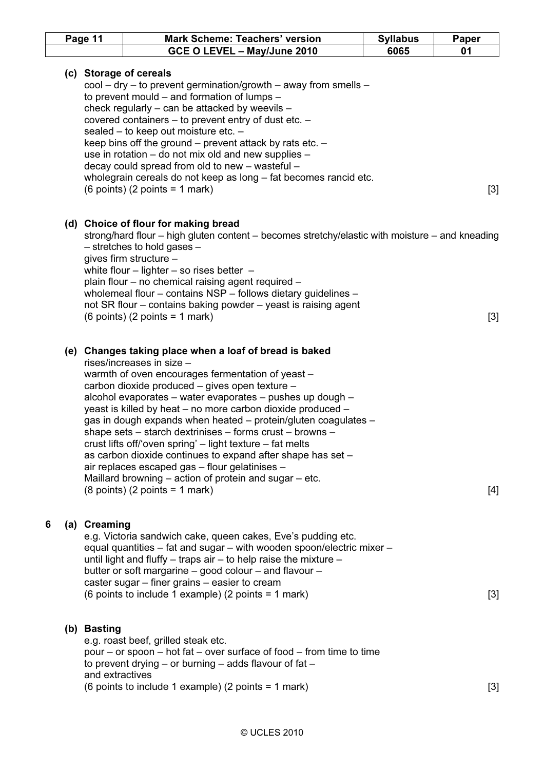|   | Page 11 |                                | <b>Mark Scheme: Teachers' version</b>                                                                                                                                                                                                                                                                                                                                                                                                                                                                                                                                                                                                                                                                                                                      | <b>Syllabus</b> | Paper |
|---|---------|--------------------------------|------------------------------------------------------------------------------------------------------------------------------------------------------------------------------------------------------------------------------------------------------------------------------------------------------------------------------------------------------------------------------------------------------------------------------------------------------------------------------------------------------------------------------------------------------------------------------------------------------------------------------------------------------------------------------------------------------------------------------------------------------------|-----------------|-------|
|   |         |                                | GCE O LEVEL - May/June 2010                                                                                                                                                                                                                                                                                                                                                                                                                                                                                                                                                                                                                                                                                                                                | 6065            | 01    |
|   |         |                                | (c) Storage of cereals<br>$\text{cool} - \text{dry} - \text{to prevent germination/growth} - \text{away from smells} -$<br>to prevent mould – and formation of lumps –<br>check regularly - can be attacked by weevils -<br>covered containers - to prevent entry of dust etc. -<br>sealed - to keep out moisture etc. -<br>keep bins off the ground $-$ prevent attack by rats etc. $-$<br>use in rotation – do not mix old and new supplies –<br>decay could spread from old to new - wasteful -<br>wholegrain cereals do not keep as long - fat becomes rancid etc.<br>$(6$ points) $(2$ points = 1 mark)                                                                                                                                               |                 | $[3]$ |
|   |         |                                | (d) Choice of flour for making bread<br>strong/hard flour – high gluten content – becomes stretchy/elastic with moisture – and kneading<br>$-$ stretches to hold gases $-$<br>gives firm structure -<br>white flour $-$ lighter $-$ so rises better $-$<br>plain flour - no chemical raising agent required -<br>wholemeal flour - contains NSP - follows dietary guidelines -<br>not SR flour – contains baking powder – yeast is raising agent<br>$(6$ points) $(2$ points = 1 mark)                                                                                                                                                                                                                                                                     |                 | $[3]$ |
|   |         |                                | (e) Changes taking place when a loaf of bread is baked<br>rises/increases in size -<br>warmth of oven encourages fermentation of yeast -<br>carbon dioxide produced - gives open texture -<br>alcohol evaporates – water evaporates – pushes up dough –<br>yeast is killed by heat – no more carbon dioxide produced –<br>gas in dough expands when heated - protein/gluten coagulates -<br>shape sets – starch dextrinises – forms crust – browns –<br>crust lifts off/'oven spring' - light texture - fat melts<br>as carbon dioxide continues to expand after shape has set -<br>air replaces escaped gas - flour gelatinises -<br>Maillard browning – action of protein and sugar – etc.<br>$(8 \text{ points})$ $(2 \text{ points} = 1 \text{ mark})$ |                 | [4]   |
| 6 |         | (a) Creaming                   | e.g. Victoria sandwich cake, queen cakes, Eve's pudding etc.<br>equal quantities - fat and sugar - with wooden spoon/electric mixer -<br>until light and fluffy $-$ traps air $-$ to help raise the mixture $-$<br>butter or soft margarine - good colour - and flavour -<br>caster sugar – finer grains – easier to cream<br>(6 points to include 1 example) (2 points = 1 mark)                                                                                                                                                                                                                                                                                                                                                                          |                 | $[3]$ |
|   |         | (b) Basting<br>and extractives | e.g. roast beef, grilled steak etc.<br>pour – or spoon – hot fat – over surface of food – from time to time<br>to prevent drying $-$ or burning $-$ adds flavour of fat $-$<br>(6 points to include 1 example) (2 points = 1 mark)                                                                                                                                                                                                                                                                                                                                                                                                                                                                                                                         |                 | [3]   |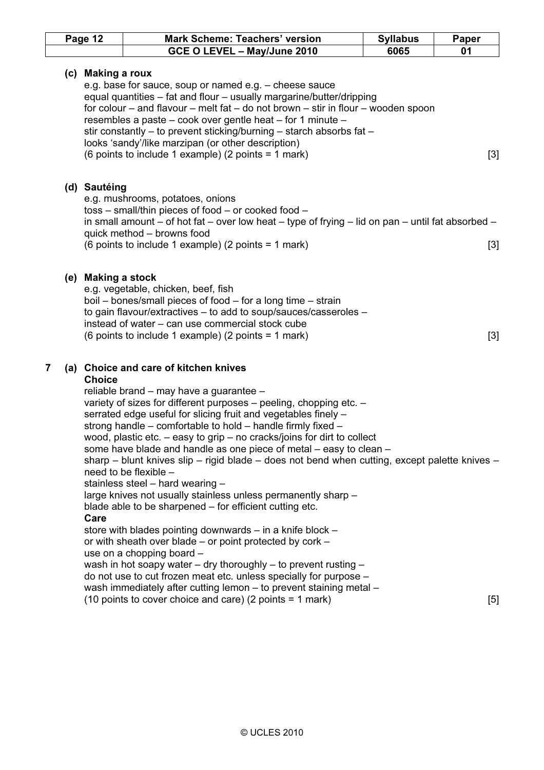|   | Page 12 |                       | <b>Mark Scheme: Teachers' version</b>                                                                                                                                                                                                                                                                                                                                                                                                                                                                                                                                                                                                                                                                                                                                                                                                                                                                                                                                                                                                                                                                                                                                        | <b>Syllabus</b> | Paper |
|---|---------|-----------------------|------------------------------------------------------------------------------------------------------------------------------------------------------------------------------------------------------------------------------------------------------------------------------------------------------------------------------------------------------------------------------------------------------------------------------------------------------------------------------------------------------------------------------------------------------------------------------------------------------------------------------------------------------------------------------------------------------------------------------------------------------------------------------------------------------------------------------------------------------------------------------------------------------------------------------------------------------------------------------------------------------------------------------------------------------------------------------------------------------------------------------------------------------------------------------|-----------------|-------|
|   |         |                       | GCE O LEVEL - May/June 2010                                                                                                                                                                                                                                                                                                                                                                                                                                                                                                                                                                                                                                                                                                                                                                                                                                                                                                                                                                                                                                                                                                                                                  | 6065            | 01    |
|   |         | (c) Making a roux     | e.g. base for sauce, soup or named e.g. - cheese sauce<br>equal quantities - fat and flour - usually margarine/butter/dripping<br>for colour – and flavour – melt fat – do not brown – stir in flour – wooden spoon<br>resembles a paste – cook over gentle heat – for 1 minute –<br>stir constantly – to prevent sticking/burning – starch absorbs fat –<br>looks 'sandy'/like marzipan (or other description)<br>(6 points to include 1 example) (2 points = 1 mark)                                                                                                                                                                                                                                                                                                                                                                                                                                                                                                                                                                                                                                                                                                       |                 | $[3]$ |
|   |         | (d) Sautéing          | e.g. mushrooms, potatoes, onions<br>$toss$ – small/thin pieces of food – or cooked food –<br>in small amount – of hot fat – over low heat – type of frying – lid on pan – until fat absorbed –<br>quick method - browns food<br>(6 points to include 1 example) (2 points = 1 mark)                                                                                                                                                                                                                                                                                                                                                                                                                                                                                                                                                                                                                                                                                                                                                                                                                                                                                          |                 | [3]   |
|   |         | (e) Making a stock    | e.g. vegetable, chicken, beef, fish<br>boil – bones/small pieces of food – for a long time – strain<br>to gain flavour/extractives - to add to soup/sauces/casseroles -<br>instead of water – can use commercial stock cube<br>(6 points to include 1 example) (2 points = 1 mark)                                                                                                                                                                                                                                                                                                                                                                                                                                                                                                                                                                                                                                                                                                                                                                                                                                                                                           |                 | $[3]$ |
| 7 |         | <b>Choice</b><br>Care | (a) Choice and care of kitchen knives<br>reliable brand - may have a guarantee -<br>variety of sizes for different purposes - peeling, chopping etc. -<br>serrated edge useful for slicing fruit and vegetables finely -<br>strong handle – comfortable to hold – handle firmly fixed –<br>wood, plastic etc. $-$ easy to grip $-$ no cracks/joins for dirt to collect<br>some have blade and handle as one piece of metal - easy to clean -<br>sharp – blunt knives slip – rigid blade – does not bend when cutting, except palette knives –<br>need to be flexible -<br>stainless steel - hard wearing -<br>large knives not usually stainless unless permanently sharp -<br>blade able to be sharpened - for efficient cutting etc.<br>store with blades pointing downwards - in a knife block -<br>or with sheath over blade – or point protected by cork –<br>use on a chopping board -<br>wash in hot soapy water $-$ dry thoroughly $-$ to prevent rusting $-$<br>do not use to cut frozen meat etc. unless specially for purpose -<br>wash immediately after cutting lemon - to prevent staining metal -<br>(10 points to cover choice and care) (2 points = 1 mark) |                 | $[5]$ |